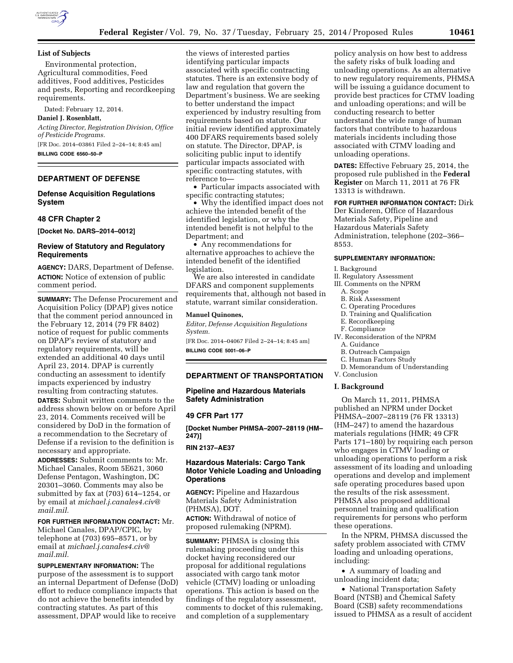

## **List of Subjects**

Environmental protection, Agricultural commodities, Feed additives, Food additives, Pesticides and pests, Reporting and recordkeeping requirements.

Dated: February 12, 2014.

**Daniel J. Rosenblatt,** 

*Acting Director, Registration Division, Office of Pesticide Programs.*  [FR Doc. 2014–03861 Filed 2–24–14; 8:45 am]

**BILLING CODE 6560–50–P** 

# **DEPARTMENT OF DEFENSE**

# **Defense Acquisition Regulations System**

# **48 CFR Chapter 2**

**[Docket No. DARS–2014–0012]** 

# **Review of Statutory and Regulatory Requirements**

**AGENCY:** DARS, Department of Defense. **ACTION:** Notice of extension of public comment period.

**SUMMARY:** The Defense Procurement and Acquisition Policy (DPAP) gives notice that the comment period announced in the February 12, 2014 (79 FR 8402) notice of request for public comments on DPAP's review of statutory and regulatory requirements, will be extended an additional 40 days until April 23, 2014. DPAP is currently conducting an assessment to identify impacts experienced by industry resulting from contracting statutes.

**DATES:** Submit written comments to the address shown below on or before April 23, 2014. Comments received will be considered by DoD in the formation of a recommendation to the Secretary of Defense if a revision to the definition is necessary and appropriate.

**ADDRESSES:** Submit comments to: Mr. Michael Canales, Room 5E621, 3060 Defense Pentagon, Washington, DC 20301–3060. Comments may also be submitted by fax at (703) 614–1254, or by email at *[michael.j.canales4.civ@](mailto:michael.j.canales4.civ@mail.mil) [mail.mil.](mailto:michael.j.canales4.civ@mail.mil)* 

## **FOR FURTHER INFORMATION CONTACT:** Mr.

Michael Canales, DPAP/CPIC, by telephone at (703) 695–8571, or by email at *[michael.j.canales4.civ@](mailto:michael.j.canales4.civ@mail.mil) [mail.mil.](mailto:michael.j.canales4.civ@mail.mil)* 

**SUPPLEMENTARY INFORMATION:** The purpose of the assessment is to support an internal Department of Defense (DoD) effort to reduce compliance impacts that do not achieve the benefits intended by contracting statutes. As part of this assessment, DPAP would like to receive

the views of interested parties identifying particular impacts associated with specific contracting statutes. There is an extensive body of law and regulation that govern the Department's business. We are seeking to better understand the impact experienced by industry resulting from requirements based on statute. Our initial review identified approximately 400 DFARS requirements based solely on statute. The Director, DPAP, is soliciting public input to identify particular impacts associated with specific contracting statutes, with reference to—

• Particular impacts associated with specific contracting statutes;

• Why the identified impact does not achieve the intended benefit of the identified legislation, or why the intended benefit is not helpful to the Department; and

• Any recommendations for alternative approaches to achieve the intended benefit of the identified legislation.

We are also interested in candidate DFARS and component supplements requirements that, although not based in statute, warrant similar consideration.

#### **Manuel Quinones,**

*Editor, Defense Acquisition Regulations System.* 

[FR Doc. 2014–04067 Filed 2–24–14; 8:45 am] **BILLING CODE 5001–06–P** 

## **DEPARTMENT OF TRANSPORTATION**

**Pipeline and Hazardous Materials Safety Administration** 

## **49 CFR Part 177**

**[Docket Number PHMSA–2007–28119 (HM– 247)]** 

**RIN 2137–AE37** 

# **Hazardous Materials: Cargo Tank Motor Vehicle Loading and Unloading Operations**

**AGENCY:** Pipeline and Hazardous Materials Safety Administration (PHMSA), DOT.

**ACTION:** Withdrawal of notice of proposed rulemaking (NPRM).

**SUMMARY:** PHMSA is closing this rulemaking proceeding under this docket having reconsidered our proposal for additional regulations associated with cargo tank motor vehicle (CTMV) loading or unloading operations. This action is based on the findings of the regulatory assessment, comments to docket of this rulemaking, and completion of a supplementary

policy analysis on how best to address the safety risks of bulk loading and unloading operations. As an alternative to new regulatory requirements, PHMSA will be issuing a guidance document to provide best practices for CTMV loading and unloading operations; and will be conducting research to better understand the wide range of human factors that contribute to hazardous materials incidents including those associated with CTMV loading and unloading operations.

**DATES:** Effective February 25, 2014, the proposed rule published in the **Federal Register** on March 11, 2011 at 76 FR 13313 is withdrawn.

**FOR FURTHER INFORMATION CONTACT:** Dirk

Der Kinderen, Office of Hazardous Materials Safety, Pipeline and Hazardous Materials Safety Administration, telephone (202–366– 8553.

## **SUPPLEMENTARY INFORMATION:**

I. Background

II. Regulatory Assessment

- III. Comments on the NPRM
	- A. Scope
	- B. Risk Assessment
	- C. Operating Procedures
	- D. Training and Qualification
	- E. Recordkeeping
	- F. Compliance

IV. Reconsideration of the NPRM

- A. Guidance
- B. Outreach Campaign
- C. Human Factors Study
- D. Memorandum of Understanding V. Conclusion

### **I. Background**

On March 11, 2011, PHMSA published an NPRM under Docket PHMSA–2007–28119 (76 FR 13313) (HM–247) to amend the hazardous materials regulations (HMR; 49 CFR Parts 171–180) by requiring each person who engages in CTMV loading or unloading operations to perform a risk assessment of its loading and unloading operations and develop and implement safe operating procedures based upon the results of the risk assessment. PHMSA also proposed additional personnel training and qualification requirements for persons who perform these operations.

In the NPRM, PHMSA discussed the safety problem associated with CTMV loading and unloading operations, including:

• A summary of loading and unloading incident data;

• National Transportation Safety Board (NTSB) and Chemical Safety Board (CSB) safety recommendations issued to PHMSA as a result of accident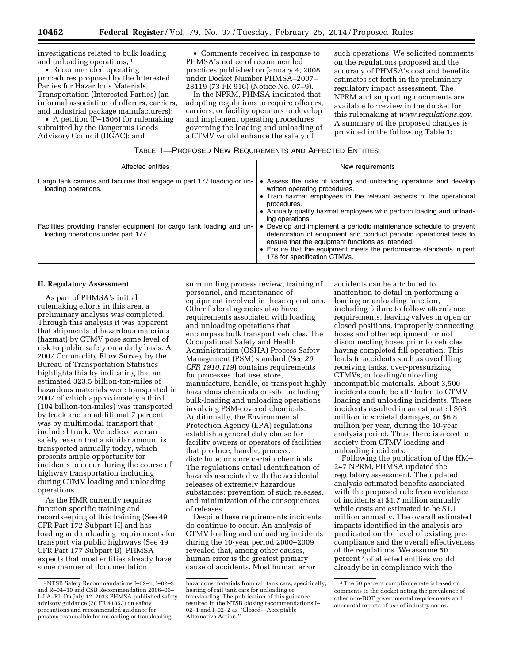investigations related to bulk loading

and unloading operations; 1 • Recommended operating procedures proposed by the Interested Parties for Hazardous Materials Transportation (Interested Parties) (an informal association of offerors, carriers, and industrial package manufacturers);

• A petition (P-1506) for rulemaking submitted by the Dangerous Goods Advisory Council (DGAC); and

• Comments received in response to PHMSA's notice of recommended practices published on January 4, 2008 under Docket Number PHMSA–2007– 28119 (73 FR 916) (Notice No. 07–9).

In the NPRM, PHMSA indicated that adopting regulations to require offerors, carriers, or facility operators to develop and implement operating procedures governing the loading and unloading of a CTMV would enhance the safety of

such operations. We solicited comments on the regulations proposed and the accuracy of PHMSA's cost and benefits estimates set forth in the preliminary regulatory impact assessment. The NPRM and supporting documents are available for review in the docket for this rulemaking at *[www.regulations.gov.](http://www.regulations.gov)*  A summary of the proposed changes is provided in the following Table 1:

# TABLE 1—PROPOSED NEW REQUIREMENTS AND AFFECTED ENTITIES

| Affected entities                                                                                            | New requirements                                                                                                                                                                                                                                                                                                                                                                                |
|--------------------------------------------------------------------------------------------------------------|-------------------------------------------------------------------------------------------------------------------------------------------------------------------------------------------------------------------------------------------------------------------------------------------------------------------------------------------------------------------------------------------------|
| Cargo tank carriers and facilities that engage in part 177 loading or un-<br>loading operations.             | • Assess the risks of loading and unloading operations and develop<br>written operating procedures.<br>• Train hazmat employees in the relevant aspects of the operational<br>procedures.                                                                                                                                                                                                       |
| Facilities providing transfer equipment for cargo tank loading and un-<br>loading operations under part 177. | • Annually qualify hazmat employees who perform loading and unload-<br>ing operations.<br>• Develop and implement a periodic maintenance schedule to prevent<br>deterioration of equipment and conduct periodic operational tests to<br>ensure that the equipment functions as intended.<br>• Ensure that the equipment meets the performance standards in part<br>178 for specification CTMVs. |

## **II. Regulatory Assessment**

As part of PHMSA's initial rulemaking efforts in this area, a preliminary analysis was completed. Through this analysis it was apparent that shipments of hazardous materials (hazmat) by CTMV pose some level of risk to public safety on a daily basis. A 2007 Commodity Flow Survey by the Bureau of Transportation Statistics highlights this by indicating that an estimated 323.5 billion-ton-miles of hazardous materials were transported in 2007 of which approximately a third (104 billion-ton-miles) was transported by truck and an additional 7 percent was by multimodal transport that included truck. We believe we can safely reason that a similar amount is transported annually today, which presents ample opportunity for incidents to occur during the course of highway transportation including during CTMV loading and unloading operations.

As the HMR currently requires function specific training and recordkeeping of this training (See 49 CFR Part 172 Subpart H) and has loading and unloading requirements for transport via public highways (See 49 CFR Part 177 Subpart B), PHMSA expects that most entities already have some manner of documentation

surrounding process review, training of personnel, and maintenance of equipment involved in these operations. Other federal agencies also have requirements associated with loading and unloading operations that encompass bulk transport vehicles. The Occupational Safety and Health Administration (OSHA) Process Safety Management (PSM) standard (See *29 CFR 1910.119*) contains requirements for processes that use, store, manufacture, handle, or transport highly hazardous chemicals on-site including bulk-loading and unloading operations involving PSM-covered chemicals. Additionally, the Environmental Protection Agency (EPA) regulations establish a general duty clause for facility owners or operators of facilities that produce, handle, process, distribute, or store certain chemicals. The regulations entail identification of hazards associated with the accidental releases of extremely hazardous substances; prevention of such releases, and minimization of the consequences of releases.

Despite these requirements incidents do continue to occur. An analysis of CTMV loading and unloading incidents during the 10-year period 2000–2009 revealed that, among other causes, human error is the greatest primary cause of accidents. Most human error

accidents can be attributed to inattention to detail in performing a loading or unloading function, including failure to follow attendance requirements, leaving valves in open or closed positions, improperly connecting hoses and other equipment, or not disconnecting hoses prior to vehicles having completed fill operation. This leads to accidents such as overfilling receiving tanks, over-pressurizing CTMVs, or loading/unloading incompatible materials. About 3,500 incidents could be attributed to CTMV loading and unloading incidents. These incidents resulted in an estimated \$68 million in societal damages, or \$6.8 million per year, during the 10-year analysis period. Thus, there is a cost to society from CTMV loading and unloading incidents.

Following the publication of the HM– 247 NPRM, PHMSA updated the regulatory assessment. The updated analysis estimated benefits associated with the proposed rule from avoidance of incidents at \$1.7 million annually while costs are estimated to be \$1.1 million annually. The overall estimated impacts identified in the analysis are predicated on the level of existing precompliance and the overall effectiveness of the regulations. We assume 50 percent 2 of affected entities would already be in compliance with the

<sup>1</sup>NTSB Safety Recommendations I–02–1, I–02–2, and R–04–10 and CSB Recommendation 2006–06– I–LA–RI. On July 12, 2013 PHMSA published safety advisory guidance (78 FR 41853) on safety precautions and recommended guidance for persons responsible for unloading or transloading

hazardous materials from rail tank cars, specifically, heating of rail tank cars for unloading or transloading. The publication of this guidance resulted in the NTSB closing recommendations I– 02–1 and I–02–2 as ''Closed—Acceptable Alternative Action.''

<sup>2</sup>The 50 percent compliance rate is based on comments to the docket noting the prevalence of other non-DOT governmental requirements and anecdotal reports of use of industry codes.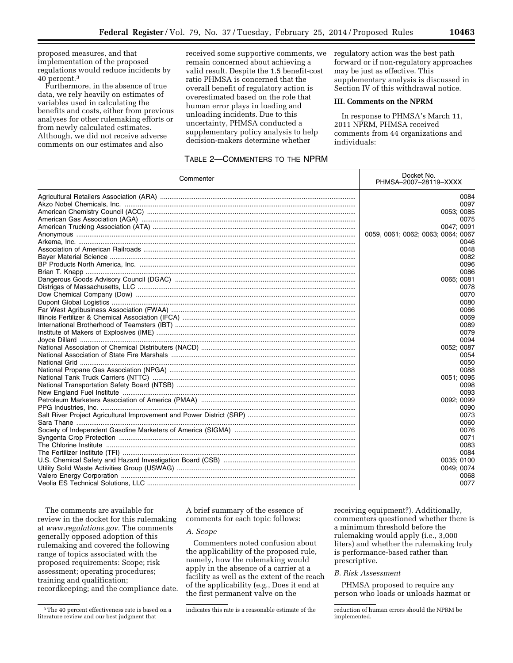proposed measures, and that implementation of the proposed regulations would reduce incidents by 40 percent.3

Furthermore, in the absence of true data, we rely heavily on estimates of variables used in calculating the benefits and costs, either from previous analyses for other rulemaking efforts or from newly calculated estimates. Although, we did not receive adverse comments on our estimates and also

received some supportive comments, we remain concerned about achieving a valid result. Despite the 1.5 benefit-cost ratio PHMSA is concerned that the overall benefit of regulatory action is overestimated based on the role that human error plays in loading and unloading incidents. Due to this uncertainty, PHMSA conducted a supplementary policy analysis to help decision-makers determine whether

# TABLE 2—COMMENTERS TO THE NPRM

regulatory action was the best path forward or if non-regulatory approaches may be just as effective. This supplementary analysis is discussed in Section IV of this withdrawal notice.

# **III. Comments on the NPRM**

In response to PHMSA's March 11, 2011 NPRM, PHMSA received comments from 44 organizations and individuals:

| Commenter | Docket No.<br>PHMSA-2007-28119-XXXX |
|-----------|-------------------------------------|
|           | 0084                                |
|           | 0097                                |
|           | 0053; 0085                          |
|           | 0075                                |
|           | 0047: 0091                          |
|           | 0059, 0061; 0062; 0063; 0064; 0067  |
|           | 0046                                |
|           | 0048                                |
|           | 0082                                |
|           | 0096                                |
|           | 0086                                |
|           | 0065; 0081                          |
|           | 0078                                |
|           | 0070                                |
|           | 0080                                |
|           | 0066                                |
|           | 0069                                |
|           | 0089                                |
|           | 0079                                |
|           | 0094                                |
|           | 0052; 0087                          |
|           | 0054                                |
|           | 0050                                |
|           | 0088                                |
|           | 0051; 0095                          |
|           | 0098                                |
|           | 0093                                |
|           | 0092; 0099                          |
|           | 0090                                |
|           | 0073                                |
|           | 0060                                |
|           | 0076                                |
|           | 0071                                |
|           | 0083                                |
|           | 0084                                |
|           | 0035; 0100                          |
|           | 0049; 0074                          |
|           | 0068                                |
|           | 0077                                |

The comments are available for review in the docket for this rulemaking at *[www.regulations.gov](http://www.regulations.gov)*. The comments generally opposed adoption of this rulemaking and covered the following range of topics associated with the proposed requirements: Scope; risk assessment; operating procedures; training and qualification; recordkeeping; and the compliance date.

A brief summary of the essence of comments for each topic follows:

## *A. Scope*

Commenters noted confusion about the applicability of the proposed rule, namely, how the rulemaking would apply in the absence of a carrier at a facility as well as the extent of the reach of the applicability (e.g., Does it end at the first permanent valve on the

receiving equipment?). Additionally, commenters questioned whether there is a minimum threshold before the rulemaking would apply (i.e., 3,000 liters) and whether the rulemaking truly is performance-based rather than prescriptive.

### *B. Risk Assessment*

PHMSA proposed to require any person who loads or unloads hazmat or

<sup>3</sup>The 40 percent effectiveness rate is based on a literature review and our best judgment that

indicates this rate is a reasonable estimate of the reduction of human errors should the NPRM be

implemented.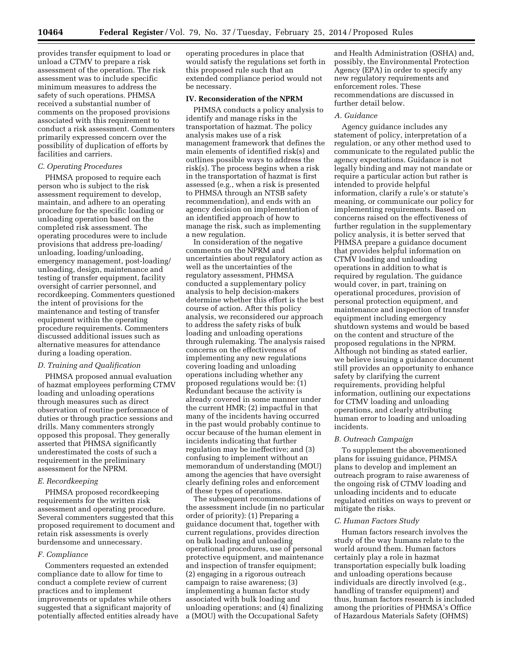provides transfer equipment to load or unload a CTMV to prepare a risk assessment of the operation. The risk assessment was to include specific minimum measures to address the safety of such operations. PHMSA received a substantial number of comments on the proposed provisions associated with this requirement to conduct a risk assessment. Commenters primarily expressed concern over the possibility of duplication of efforts by facilities and carriers.

# *C. Operating Procedures*

PHMSA proposed to require each person who is subject to the risk assessment requirement to develop, maintain, and adhere to an operating procedure for the specific loading or unloading operation based on the completed risk assessment. The operating procedures were to include provisions that address pre-loading/ unloading, loading/unloading, emergency management, post-loading/ unloading, design, maintenance and testing of transfer equipment, facility oversight of carrier personnel, and recordkeeping. Commenters questioned the intent of provisions for the maintenance and testing of transfer equipment within the operating procedure requirements. Commenters discussed additional issues such as alternative measures for attendance during a loading operation.

## *D. Training and Qualification*

PHMSA proposed annual evaluation of hazmat employees performing CTMV loading and unloading operations through measures such as direct observation of routine performance of duties or through practice sessions and drills. Many commenters strongly opposed this proposal. They generally asserted that PHMSA significantly underestimated the costs of such a requirement in the preliminary assessment for the NPRM.

#### *E. Recordkeeping*

PHMSA proposed recordkeeping requirements for the written risk assessment and operating procedure. Several commenters suggested that this proposed requirement to document and retain risk assessments is overly burdensome and unnecessary.

### *F. Compliance*

Commenters requested an extended compliance date to allow for time to conduct a complete review of current practices and to implement improvements or updates while others suggested that a significant majority of potentially affected entities already have operating procedures in place that would satisfy the regulations set forth in this proposed rule such that an extended compliance period would not be necessary.

## **IV. Reconsideration of the NPRM**

PHMSA conducts a policy analysis to identify and manage risks in the transportation of hazmat. The policy analysis makes use of a risk management framework that defines the main elements of identified risk(s) and outlines possible ways to address the risk(s). The process begins when a risk in the transportation of hazmat is first assessed (e.g., when a risk is presented to PHMSA through an NTSB safety recommendation), and ends with an agency decision on implementation of an identified approach of how to manage the risk, such as implementing a new regulation.

In consideration of the negative comments on the NPRM and uncertainties about regulatory action as well as the uncertainties of the regulatory assessment, PHMSA conducted a supplementary policy analysis to help decision-makers determine whether this effort is the best course of action. After this policy analysis, we reconsidered our approach to address the safety risks of bulk loading and unloading operations through rulemaking. The analysis raised concerns on the effectiveness of implementing any new regulations covering loading and unloading operations including whether any proposed regulations would be: (1) Redundant because the activity is already covered in some manner under the current HMR; (2) impactful in that many of the incidents having occurred in the past would probably continue to occur because of the human element in incidents indicating that further regulation may be ineffective; and (3) confusing to implement without an memorandum of understanding (MOU) among the agencies that have oversight clearly defining roles and enforcement of these types of operations.

The subsequent recommendations of the assessment include (in no particular order of priority): (1) Preparing a guidance document that, together with current regulations, provides direction on bulk loading and unloading operational procedures, use of personal protective equipment, and maintenance and inspection of transfer equipment; (2) engaging in a rigorous outreach campaign to raise awareness; (3) implementing a human factor study associated with bulk loading and unloading operations; and (4) finalizing a (MOU) with the Occupational Safety

and Health Administration (OSHA) and, possibly, the Environmental Protection Agency (EPA) in order to specify any new regulatory requirements and enforcement roles. These recommendations are discussed in further detail below.

## *A. Guidance*

Agency guidance includes any statement of policy, interpretation of a regulation, or any other method used to communicate to the regulated public the agency expectations. Guidance is not legally binding and may not mandate or require a particular action but rather is intended to provide helpful information, clarify a rule's or statute's meaning, or communicate our policy for implementing requirements. Based on concerns raised on the effectiveness of further regulation in the supplementary policy analysis, it is better served that PHMSA prepare a guidance document that provides helpful information on CTMV loading and unloading operations in addition to what is required by regulation. The guidance would cover, in part, training on operational procedures, provision of personal protection equipment, and maintenance and inspection of transfer equipment including emergency shutdown systems and would be based on the content and structure of the proposed regulations in the NPRM. Although not binding as stated earlier, we believe issuing a guidance document still provides an opportunity to enhance safety by clarifying the current requirements, providing helpful information, outlining our expectations for CTMV loading and unloading operations, and clearly attributing human error to loading and unloading incidents.

#### *B. Outreach Campaign*

To supplement the abovementioned plans for issuing guidance, PHMSA plans to develop and implement an outreach program to raise awareness of the ongoing risk of CTMV loading and unloading incidents and to educate regulated entities on ways to prevent or mitigate the risks.

### *C. Human Factors Study*

Human factors research involves the study of the way humans relate to the world around them. Human factors certainly play a role in hazmat transportation especially bulk loading and unloading operations because individuals are directly involved (e.g., handling of transfer equipment) and thus, human factors research is included among the priorities of PHMSA's Office of Hazardous Materials Safety (OHMS)